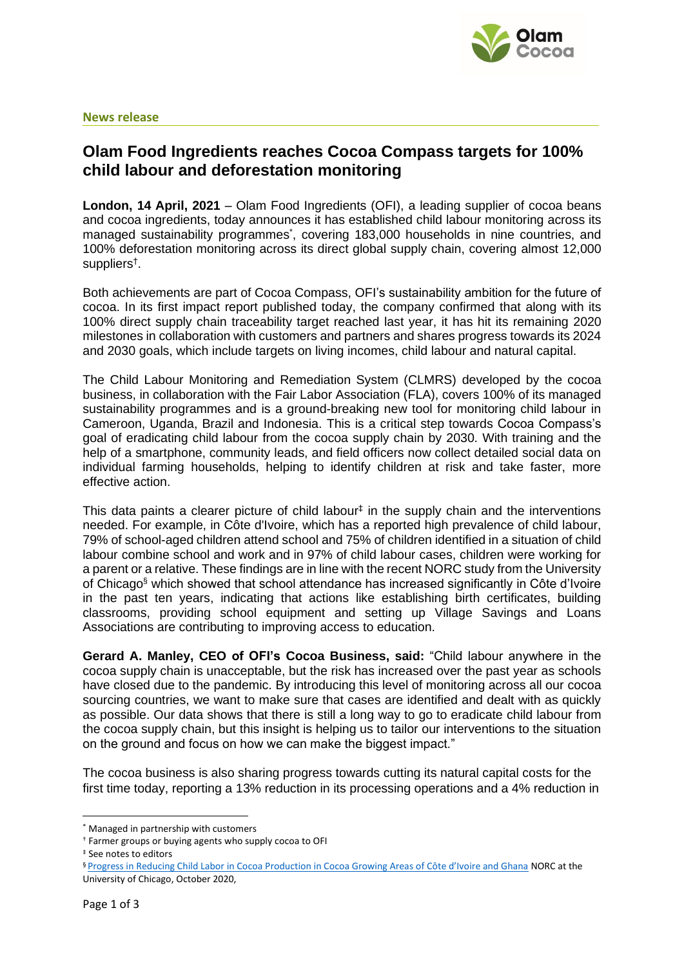

### **News release**

# **Olam Food Ingredients reaches Cocoa Compass targets for 100% child labour and deforestation monitoring**

**London, 14 April, 2021** – Olam Food Ingredients (OFI), a leading supplier of cocoa beans and cocoa ingredients, today announces it has established child labour monitoring across its managed sustainability programmes<sup>\*</sup>, covering 183,000 households in nine countries, and 100% deforestation monitoring across its direct global supply chain, covering almost 12,000 suppliers† .

Both achievements are part of Cocoa Compass, OFI's sustainability ambition for the future of cocoa. In its first impact report published today, the company confirmed that along with its 100% direct supply chain traceability target reached last year, it has hit its remaining 2020 milestones in collaboration with customers and partners and shares progress towards its 2024 and 2030 goals, which include targets on living incomes, child labour and natural capital.

The Child Labour Monitoring and Remediation System (CLMRS) developed by the cocoa business, in collaboration with the Fair Labor Association (FLA), covers 100% of its managed sustainability programmes and is a ground-breaking new tool for monitoring child labour in Cameroon, Uganda, Brazil and Indonesia. This is a critical step towards Cocoa Compass's goal of eradicating child labour from the cocoa supply chain by 2030. With training and the help of a smartphone, community leads, and field officers now collect detailed social data on individual farming households, helping to identify children at risk and take faster, more effective action.

This data paints a clearer picture of child labour $<sup>‡</sup>$  in the supply chain and the interventions</sup> needed. For example, in Côte d'Ivoire, which has a reported high prevalence of child labour, 79% of school-aged children attend school and 75% of children identified in a situation of child labour combine school and work and in 97% of child labour cases, children were working for a parent or a relative. These findings are in line with the recent NORC study from the University of Chicago§ which showed that school attendance has increased significantly in Côte d'Ivoire in the past ten years, indicating that actions like establishing birth certificates, building classrooms, providing school equipment and setting up Village Savings and Loans Associations are contributing to improving access to education.

**Gerard A. Manley, CEO of OFI's Cocoa Business, said:** "Child labour anywhere in the cocoa supply chain is unacceptable, but the risk has increased over the past year as schools have closed due to the pandemic. By introducing this level of monitoring across all our cocoa sourcing countries, we want to make sure that cases are identified and dealt with as quickly as possible. Our data shows that there is still a long way to go to eradicate child labour from the cocoa supply chain, but this insight is helping us to tailor our interventions to the situation on the ground and focus on how we can make the biggest impact."

The cocoa business is also sharing progress towards cutting its natural capital costs for the first time today, reporting a 13% reduction in its processing operations and a 4% reduction in

<sup>\*</sup> Managed in partnership with customers

<sup>†</sup> Farmer groups or buying agents who supply cocoa to OFI

<sup>‡</sup> See notes to editors

<sup>§</sup> [Progress in Reducing Child Labor in Cocoa Production in Cocoa Growing Areas of Côte d'Ivoire and Ghana](https://www.norc.org/PDFs/Cocoa%20Report/NORC%202020%20Cocoa%20Report_English.pdf) NORC at the University of Chicago, October 2020,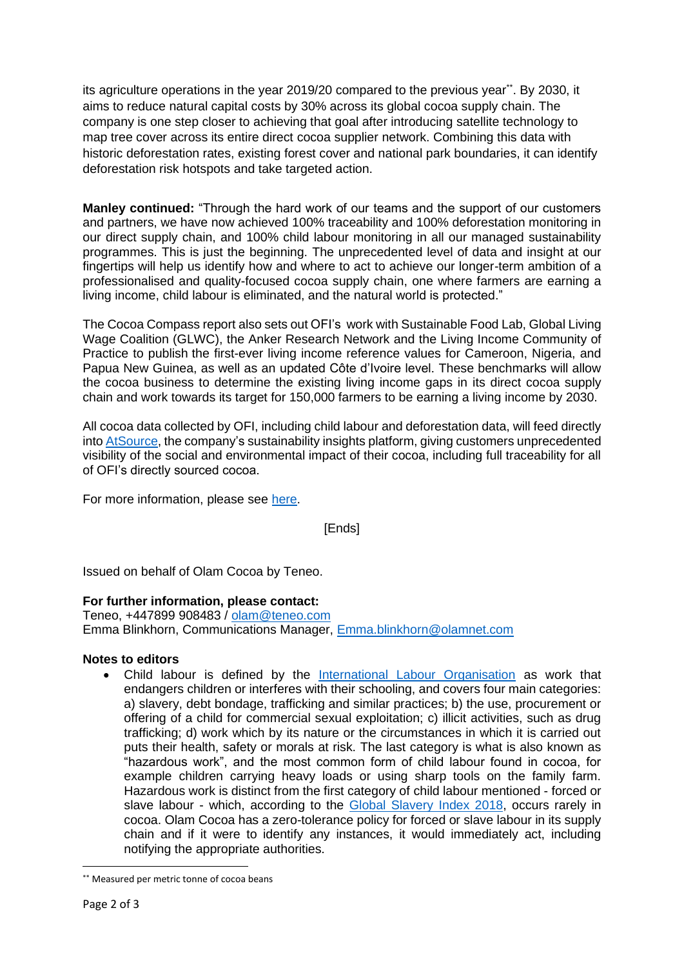its agriculture operations in the year 2019/20 compared to the previous year\*\*. By 2030, it aims to reduce natural capital costs by 30% across its global cocoa supply chain. The company is one step closer to achieving that goal after introducing satellite technology to map tree cover across its entire direct cocoa supplier network. Combining this data with historic deforestation rates, existing forest cover and national park boundaries, it can identify deforestation risk hotspots and take targeted action.

**Manley continued:** "Through the hard work of our teams and the support of our customers and partners, we have now achieved 100% traceability and 100% deforestation monitoring in our direct supply chain, and 100% child labour monitoring in all our managed sustainability programmes. This is just the beginning. The unprecedented level of data and insight at our fingertips will help us identify how and where to act to achieve our longer-term ambition of a professionalised and quality-focused cocoa supply chain, one where farmers are earning a living income, child labour is eliminated, and the natural world is protected."

The Cocoa Compass report also sets out OFI's work with Sustainable Food Lab, Global Living Wage Coalition (GLWC), the Anker Research Network and the Living Income Community of Practice to publish the first-ever living income reference values for Cameroon, Nigeria, and Papua New Guinea, as well as an updated Côte d'Ivoire level. These benchmarks will allow the cocoa business to determine the existing living income gaps in its direct cocoa supply chain and work towards its target for 150,000 farmers to be earning a living income by 2030.

All cocoa data collected by OFI, including child labour and deforestation data, will feed directly into [AtSource,](https://www.atsource.io/) the company's sustainability insights platform, giving customers unprecedented visibility of the social and environmental impact of their cocoa, including full traceability for all of OFI's directly sourced cocoa.

For more information, please see [here.](https://www.olamgroup.com/products-services/olam-food-ingredients/cocoa/cocoa-sustainability.html)

[Ends]

Issued on behalf of Olam Cocoa by Teneo.

## **For further information, please contact:**

Teneo, +447899 908483 / [olam@teneo.com](mailto:olam@teneo.com) Emma Blinkhorn, Communications Manager, [Emma.blinkhorn@olamnet.com](mailto:Emma.blinkhorn@olamnet.com)

## **Notes to editors**

• Child labour is defined by the [International Labour Organisation](https://www.ilo.org/ipec/facts/lang--en/index.htm) as work that endangers children or interferes with their schooling, and covers four main categories: a) slavery, debt bondage, trafficking and similar practices; b) the use, procurement or offering of a child for commercial sexual exploitation; c) illicit activities, such as drug trafficking; d) work which by its nature or the circumstances in which it is carried out puts their health, safety or morals at risk. The last category is what is also known as "hazardous work", and the most common form of child labour found in cocoa, for example children carrying heavy loads or using sharp tools on the family farm. Hazardous work is distinct from the first category of child labour mentioned - forced or slave labour - which, according to the [Global Slavery Index 2018,](https://www.globalslaveryindex.org/) occurs rarely in cocoa. Olam Cocoa has a zero-tolerance policy for forced or slave labour in its supply chain and if it were to identify any instances, it would immediately act, including notifying the appropriate authorities.

<sup>\*\*</sup> Measured per metric tonne of cocoa beans